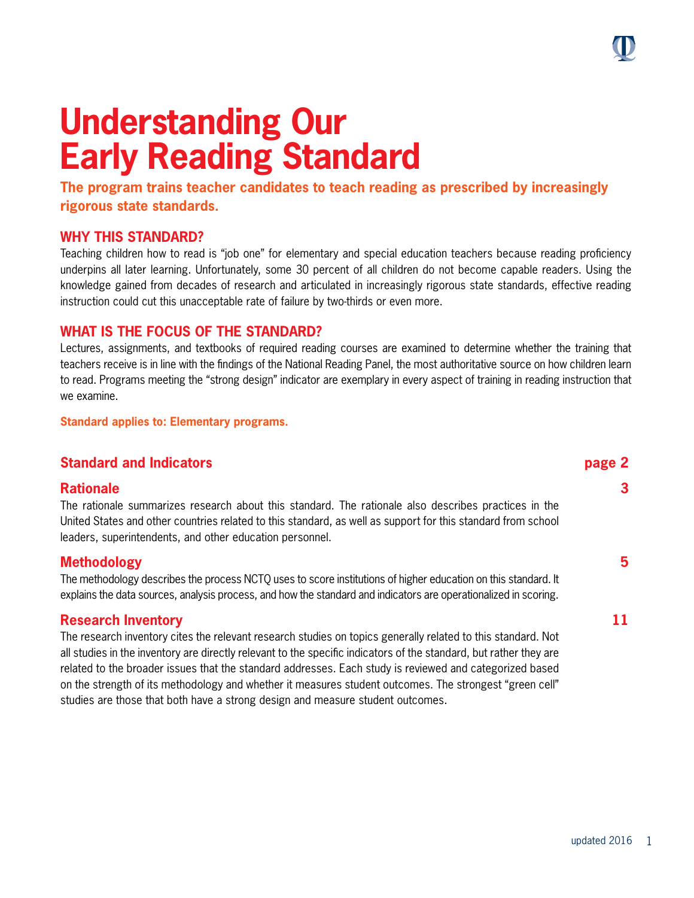# **Understanding Our Early Reading Standard**

**The program trains teacher candidates to teach reading as prescribed by increasingly rigorous state standards.** 

#### **WHY THIS STANDARD?**

Teaching children how to read is "job one" for elementary and special education teachers because reading proficiency underpins all later learning. Unfortunately, some 30 percent of all children do not become capable readers. Using the knowledge gained from decades of research and articulated in increasingly rigorous state standards, effective reading instruction could cut this unacceptable rate of failure by two-thirds or even more.

#### **WHAT IS THE FOCUS OF THE STANDARD?**

Lectures, assignments, and textbooks of required reading courses are examined to determine whether the training that teachers receive is in line with the findings of the National Reading Panel, the most authoritative source on how children learn to read. Programs meeting the "strong design" indicator are exemplary in every aspect of training in reading instruction that we examine.

**Standard applies to: Elementary programs.** 

#### **Standard and Indicators page 2**

#### **Rationale 3**

The rationale summarizes research about this standard. The rationale also describes practices in the United States and other countries related to this standard, as well as support for this standard from school leaders, superintendents, and other education personnel.

#### **Methodology 5**

The methodology describes the process NCTQ uses to score institutions of higher education on this standard. It explains the data sources, analysis process, and how the standard and indicators are operationalized in scoring.

#### **Research Inventory 11**

The research inventory cites the relevant research studies on topics generally related to this standard. Not all studies in the inventory are directly relevant to the specific indicators of the standard, but rather they are related to the broader issues that the standard addresses. Each study is reviewed and categorized based on the strength of its methodology and whether it measures student outcomes. The strongest "green cell" studies are those that both have a strong design and measure student outcomes.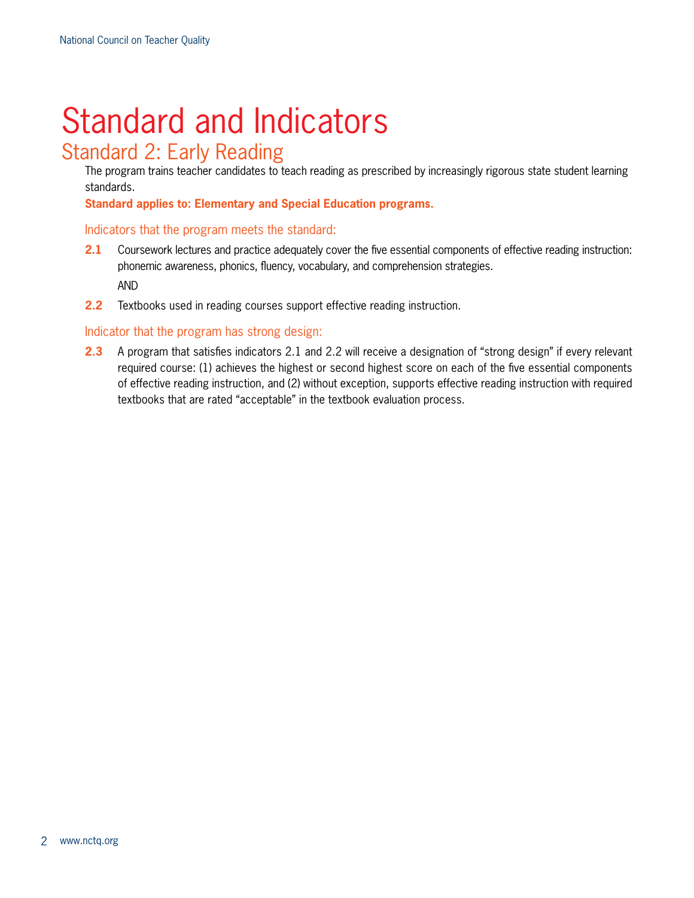# Standard and Indicators

### Standard 2: Early Reading

The program trains teacher candidates to teach reading as prescribed by increasingly rigorous state student learning standards.

**Standard applies to: Elementary and Special Education programs.** 

#### Indicators that the program meets the standard:

- **2.1** Coursework lectures and practice adequately cover the five essential components of effective reading instruction: phonemic awareness, phonics, fluency, vocabulary, and comprehension strategies. AND
- **2.2** Textbooks used in reading courses support effective reading instruction.

#### Indicator that the program has strong design:

**2.3** A program that satisfies indicators 2.1 and 2.2 will receive a designation of "strong design" if every relevant required course: (1) achieves the highest or second highest score on each of the five essential components of effective reading instruction, and (2) without exception, supports effective reading instruction with required textbooks that are rated "acceptable" in the textbook evaluation process.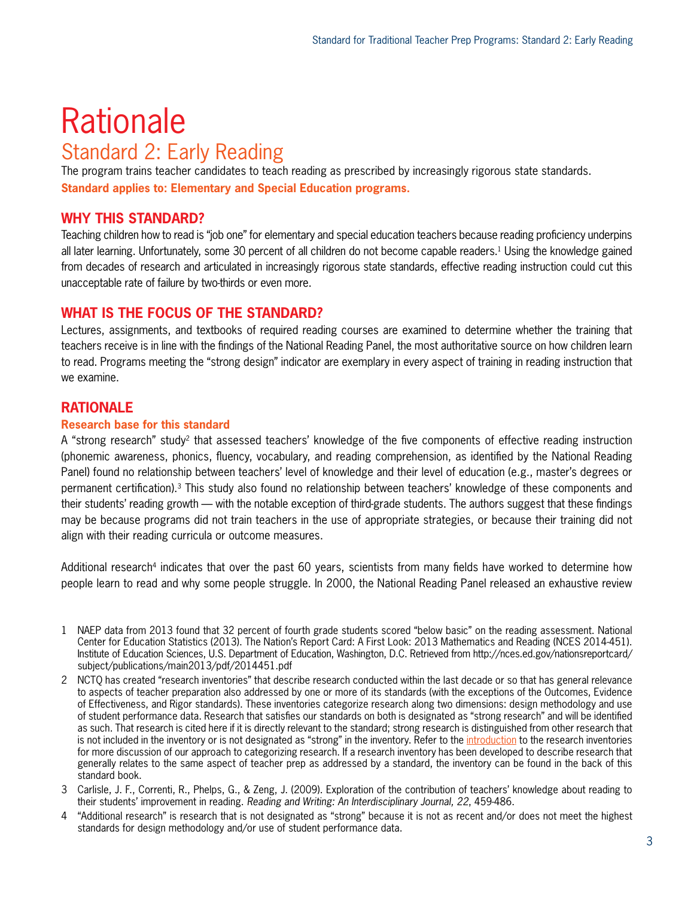## **Rationale** Standard 2: Early Reading

The program trains teacher candidates to teach reading as prescribed by increasingly rigorous state standards. **Standard applies to: Elementary and Special Education programs.**

#### **WHY THIS STANDARD?**

Teaching children how to read is "job one" for elementary and special education teachers because reading proficiency underpins all later learning. Unfortunately, some 30 percent of all children do not become capable readers.<sup>1</sup> Using the knowledge gained from decades of research and articulated in increasingly rigorous state standards, effective reading instruction could cut this unacceptable rate of failure by two-thirds or even more.

#### **WHAT IS THE FOCUS OF THE STANDARD?**

Lectures, assignments, and textbooks of required reading courses are examined to determine whether the training that teachers receive is in line with the findings of the National Reading Panel, the most authoritative source on how children learn to read. Programs meeting the "strong design" indicator are exemplary in every aspect of training in reading instruction that we examine.

#### **RATIONALE**

#### **Research base for this standard**

A "strong research" study2 that assessed teachers' knowledge of the five components of effective reading instruction (phonemic awareness, phonics, fluency, vocabulary, and reading comprehension, as identified by the National Reading Panel) found no relationship between teachers' level of knowledge and their level of education (e.g., master's degrees or permanent certification).3 This study also found no relationship between teachers' knowledge of these components and their students' reading growth — with the notable exception of third-grade students. The authors suggest that these findings may be because programs did not train teachers in the use of appropriate strategies, or because their training did not align with their reading curricula or outcome measures.

Additional research<sup>4</sup> indicates that over the past 60 years, scientists from many fields have worked to determine how people learn to read and why some people struggle. In 2000, the National Reading Panel released an exhaustive review

- 1 NAEP data from 2013 found that 32 percent of fourth grade students scored "below basic" on the reading assessment. National Center for Education Statistics (2013). The Nation's Report Card: A First Look: 2013 Mathematics and Reading (NCES 2014-451). Institute of Education Sciences, U.S. Department of Education, Washington, D.C. Retrieved from http://nces.ed.gov/nationsreportcard/ subject/publications/main2013/pdf/2014451.pdf
- 2 NCTQ has created "research inventories" that describe research conducted within the last decade or so that has general relevance to aspects of teacher preparation also addressed by one or more of its standards (with the exceptions of the Outcomes, Evidence of Effectiveness, and Rigor standards). These inventories categorize research along two dimensions: design methodology and use of student performance data. Research that satisfies our standards on both is designated as "strong research" and will be identified as such. That research is cited here if it is directly relevant to the standard; strong research is distinguished from other research that is not included in the inventory or is not designated as "strong" in the inventory. Refer to the [introduction](http://www.nctq.org/dmsView/Intro_Research_Inventories) to the research inventories for more discussion of our approach to categorizing research. If a research inventory has been developed to describe research that generally relates to the same aspect of teacher prep as addressed by a standard, the inventory can be found in the back of this standard book.
- 3 Carlisle, J. F., Correnti, R., Phelps, G., & Zeng, J. (2009). Exploration of the contribution of teachers' knowledge about reading to their students' improvement in reading. *Reading and Writing: An Interdisciplinary Journal, 22*, 459-486.
- 4 "Additional research" is research that is not designated as "strong" because it is not as recent and/or does not meet the highest standards for design methodology and/or use of student performance data.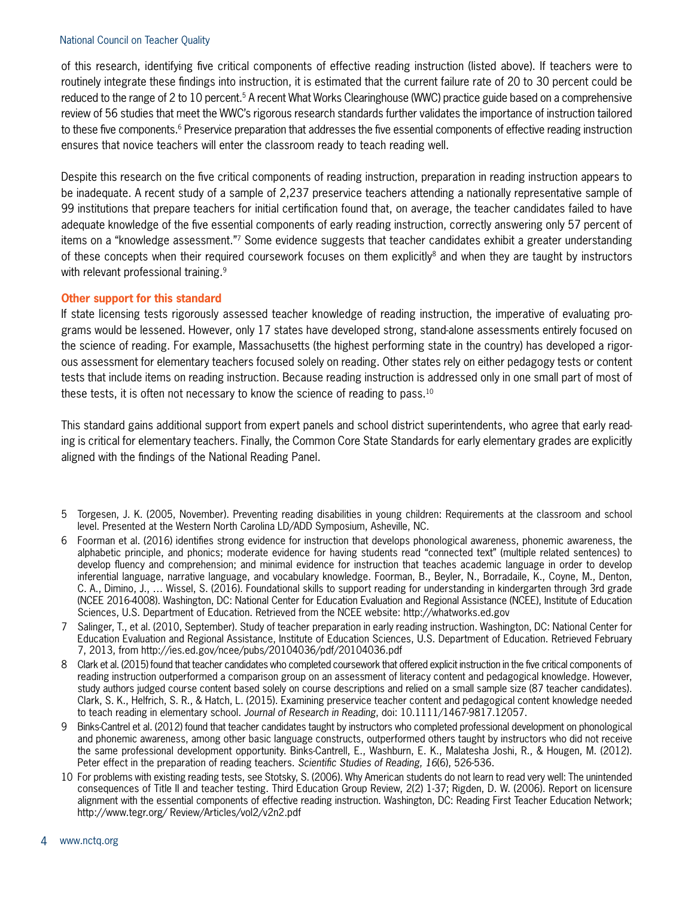#### National Council on Teacher Quality

of this research, identifying five critical components of effective reading instruction (listed above). If teachers were to routinely integrate these findings into instruction, it is estimated that the current failure rate of 20 to 30 percent could be reduced to the range of 2 to 10 percent.<sup>5</sup> A recent What Works Clearinghouse (WWC) practice guide based on a comprehensive review of 56 studies that meet the WWC's rigorous research standards further validates the importance of instruction tailored to these five components.<sup>6</sup> Preservice preparation that addresses the five essential components of effective reading instruction ensures that novice teachers will enter the classroom ready to teach reading well.

Despite this research on the five critical components of reading instruction, preparation in reading instruction appears to be inadequate. A recent study of a sample of 2,237 preservice teachers attending a nationally representative sample of 99 institutions that prepare teachers for initial certification found that, on average, the teacher candidates failed to have adequate knowledge of the five essential components of early reading instruction, correctly answering only 57 percent of items on a "knowledge assessment."7 Some evidence suggests that teacher candidates exhibit a greater understanding of these concepts when their required coursework focuses on them explicitly<sup>8</sup> and when they are taught by instructors with relevant professional training.<sup>9</sup>

#### **Other support for this standard**

If state licensing tests rigorously assessed teacher knowledge of reading instruction, the imperative of evaluating programs would be lessened. However, only 17 states have developed strong, stand-alone assessments entirely focused on the science of reading. For example, Massachusetts (the highest performing state in the country) has developed a rigorous assessment for elementary teachers focused solely on reading. Other states rely on either pedagogy tests or content tests that include items on reading instruction. Because reading instruction is addressed only in one small part of most of these tests, it is often not necessary to know the science of reading to pass.10

This standard gains additional support from expert panels and school district superintendents, who agree that early reading is critical for elementary teachers. Finally, the Common Core State Standards for early elementary grades are explicitly aligned with the findings of the National Reading Panel.

- 5 Torgesen, J. K. (2005, November). Preventing reading disabilities in young children: Requirements at the classroom and school level. Presented at the Western North Carolina LD/ADD Symposium, Asheville, NC.
- 6 Foorman et al. (2016) identifies strong evidence for instruction that develops phonological awareness, phonemic awareness, the alphabetic principle, and phonics; moderate evidence for having students read "connected text" (multiple related sentences) to develop fluency and comprehension; and minimal evidence for instruction that teaches academic language in order to develop inferential language, narrative language, and vocabulary knowledge. Foorman, B., Beyler, N., Borradaile, K., Coyne, M., Denton, C. A., Dimino, J., … Wissel, S. (2016). Foundational skills to support reading for understanding in kindergarten through 3rd grade (NCEE 2016-4008). Washington, DC: National Center for Education Evaluation and Regional Assistance (NCEE), Institute of Education Sciences, U.S. Department of Education. Retrieved from the NCEE website: http://whatworks.ed.gov
- 7 Salinger, T., et al. (2010, September). Study of teacher preparation in early reading instruction. Washington, DC: National Center for Education Evaluation and Regional Assistance, Institute of Education Sciences, U.S. Department of Education. Retrieved February 7, 2013, from http://ies.ed.gov/ncee/pubs/20104036/pdf/20104036.pdf
- 8 Clark et al. (2015) found that teacher candidates who completed coursework that offered explicit instruction in the five critical components of reading instruction outperformed a comparison group on an assessment of literacy content and pedagogical knowledge. However, study authors judged course content based solely on course descriptions and relied on a small sample size (87 teacher candidates). Clark, S. K., Helfrich, S. R., & Hatch, L. (2015). Examining preservice teacher content and pedagogical content knowledge needed to teach reading in elementary school. *Journal of Research in Reading*, doi: 10.1111/1467-9817.12057.
- 9 Binks-Cantrel et al. (2012) found that teacher candidates taught by instructors who completed professional development on phonological and phonemic awareness, among other basic language constructs, outperformed others taught by instructors who did not receive the same professional development opportunity. Binks-Cantrell, E., Washburn, E. K., Malatesha Joshi, R., & Hougen, M. (2012). Peter effect in the preparation of reading teachers. *Scientific Studies of Reading, 16*(6), 526-536.
- 10 For problems with existing reading tests, see Stotsky, S. (2006). Why American students do not learn to read very well: The unintended consequences of Title II and teacher testing. Third Education Group Review, 2(2) 1-37; Rigden, D. W. (2006). Report on licensure alignment with the essential components of effective reading instruction. Washington, DC: Reading First Teacher Education Network; http://www.tegr.org/ Review/Articles/vol2/v2n2.pdf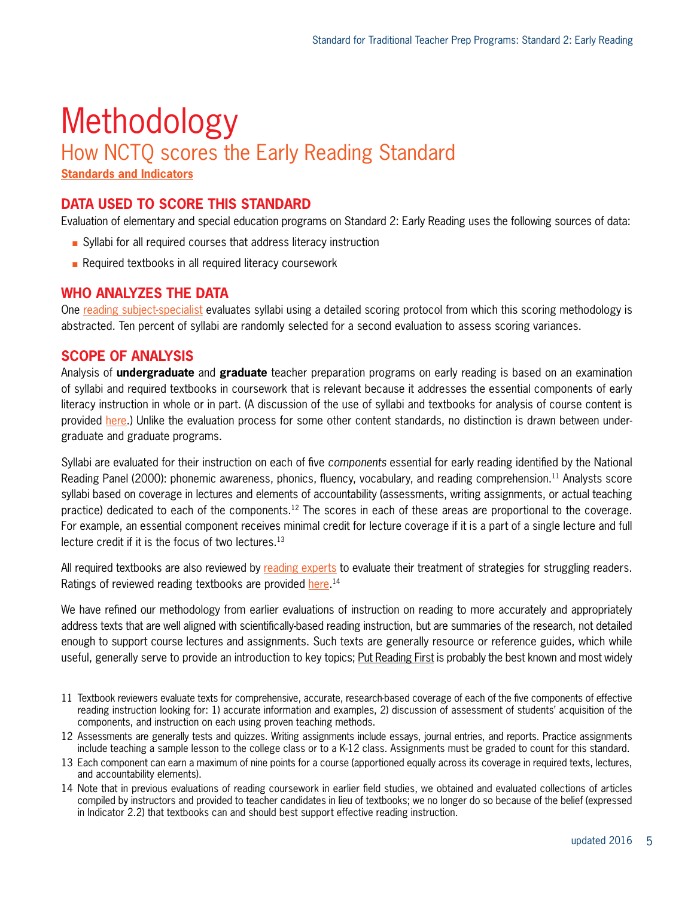## Methodology How NCTQ scores the Early Reading Standard

**[Standards and Indicators](http://www.nctq.org/dmsView/NCTQ_-_Standards_and_Indicators_-_Traditional_Programs)**

#### **DATA USED TO SCORE THIS STANDARD**

Evaluation of elementary and special education programs on Standard 2: Early Reading uses the following sources of data:

- $\blacksquare$  Syllabi for all required courses that address literacy instruction
- $\blacksquare$  Required textbooks in all required literacy coursework

#### **WHO ANALYZES THE DATA**

One [reading subject-specialist](http://www.nctq.org/dmsView/Bio_RdgSyllReviewers) evaluates syllabi using a detailed scoring protocol from which this scoring methodology is abstracted. Ten percent of syllabi are randomly selected for a second evaluation to assess scoring variances.

#### **SCOPE OF ANALYSIS**

Analysis of **undergraduate** and **graduate** teacher preparation programs on early reading is based on an examination of syllabi and required textbooks in coursework that is relevant because it addresses the essential components of early literacy instruction in whole or in part. (A discussion of the use of syllabi and textbooks for analysis of course content is provided [here.](http://www.nctq.org/dmsView/Use_of_syllabi_and_textbooks_1_0)) Unlike the evaluation process for some other content standards, no distinction is drawn between undergraduate and graduate programs.

Syllabi are evaluated for their instruction on each of five *components* essential for early reading identified by the National Reading Panel (2000): phonemic awareness, phonics, fluency, vocabulary, and reading comprehension.11 Analysts score syllabi based on coverage in lectures and elements of accountability (assessments, writing assignments, or actual teaching practice) dedicated to each of the components.<sup>12</sup> The scores in each of these areas are proportional to the coverage. For example, an essential component receives minimal credit for lecture coverage if it is a part of a single lecture and full lecture credit if it is the focus of two lectures.<sup>13</sup>

All required textbooks are also reviewed by [reading experts](http://www.nctq.org/dmsView/Bio_RdgTextReviewers) to evaluate their treatment of strategies for struggling readers. Ratings of reviewed reading textbooks are provided <u>here.</u> 14

We have refined our methodology from earlier evaluations of instruction on reading to more accurately and appropriately address texts that are well aligned with scientifically-based reading instruction, but are summaries of the research, not detailed enough to support course lectures and assignments. Such texts are generally resource or reference guides, which while useful, generally serve to provide an introduction to key topics; Put Reading First is probably the best known and most widely

- 11 Textbook reviewers evaluate texts for comprehensive, accurate, research-based coverage of each of the five components of effective reading instruction looking for: 1) accurate information and examples, 2) discussion of assessment of students' acquisition of the components, and instruction on each using proven teaching methods.
- 12 Assessments are generally tests and quizzes. Writing assignments include essays, journal entries, and reports. Practice assignments include teaching a sample lesson to the college class or to a K-12 class. Assignments must be graded to count for this standard.
- 13 Each component can earn a maximum of nine points for a course (apportioned equally across its coverage in required texts, lectures, and accountability elements).
- 14 Note that in previous evaluations of reading coursework in earlier field studies, we obtained and evaluated collections of articles compiled by instructors and provided to teacher candidates in lieu of textbooks; we no longer do so because of the belief (expressed in Indicator 2.2) that textbooks can and should best support effective reading instruction.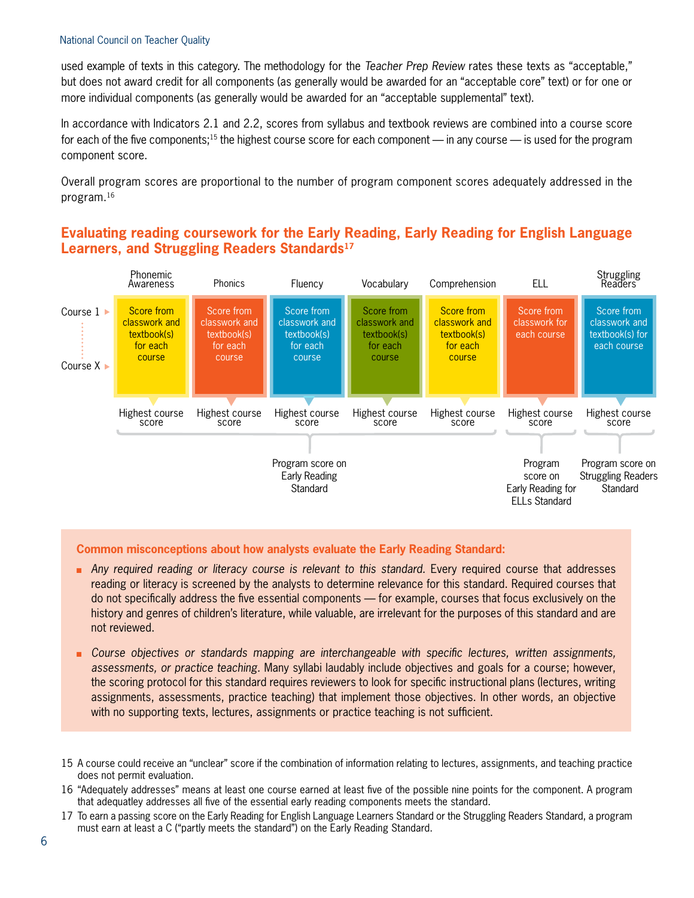#### National Council on Teacher Quality

used example of texts in this category. The methodology for the *Teacher Prep Review* rates these texts as "acceptable," but does not award credit for all components (as generally would be awarded for an "acceptable core" text) or for one or more individual components (as generally would be awarded for an "acceptable supplemental" text).

In accordance with Indicators 2.1 and 2.2, scores from syllabus and textbook reviews are combined into a course score for each of the five components;<sup>15</sup> the highest course score for each component — in any course — is used for the program component score.

Overall program scores are proportional to the number of program component scores adequately addressed in the program.16

#### **Evaluating reading coursework for the Early Reading, Early Reading for English Language Learners, and Struggling Readers Standards17**



#### **Common misconceptions about how analysts evaluate the Early Reading Standard:**

- **n** Any required reading or literacy course is relevant to this standard. Every required course that addresses reading or literacy is screened by the analysts to determine relevance for this standard. Required courses that do not specifically address the five essential components — for example, courses that focus exclusively on the history and genres of children's literature, while valuable, are irrelevant for the purposes of this standard and are not reviewed.
- <sup>n</sup> *Course objectives or standards mapping are interchangeable with specific lectures, written assignments, assessments, or practice teaching.* Many syllabi laudably include objectives and goals for a course; however, the scoring protocol for this standard requires reviewers to look for specific instructional plans (lectures, writing assignments, assessments, practice teaching) that implement those objectives. In other words, an objective with no supporting texts, lectures, assignments or practice teaching is not sufficient.
- 15 A course could receive an "unclear" score if the combination of information relating to lectures, assignments, and teaching practice does not permit evaluation.
- 16 "Adequately addresses" means at least one course earned at least five of the possible nine points for the component. A program that adequatley addresses all five of the essential early reading components meets the standard.
- 17 To earn a passing score on the Early Reading for English Language Learners Standard or the Struggling Readers Standard, a program must earn at least a C ("partly meets the standard") on the Early Reading Standard.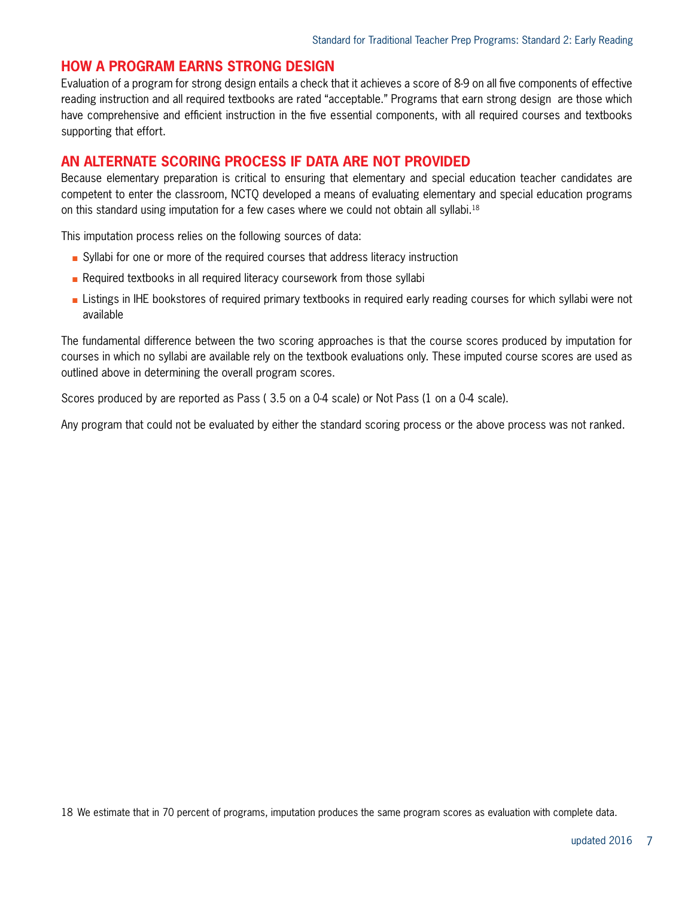#### **HOW A PROGRAM EARNS STRONG DESIGN**

Evaluation of a program for strong design entails a check that it achieves a score of 8-9 on all five components of effective reading instruction and all required textbooks are rated "acceptable." Programs that earn strong design are those which have comprehensive and efficient instruction in the five essential components, with all required courses and textbooks supporting that effort.

#### **AN ALTERNATE SCORING PROCESS IF DATA ARE NOT PROVIDED**

Because elementary preparation is critical to ensuring that elementary and special education teacher candidates are competent to enter the classroom, NCTQ developed a means of evaluating elementary and special education programs on this standard using imputation for a few cases where we could not obtain all syllabi.18

This imputation process relies on the following sources of data:

- <sup>n</sup> Syllabi for one or more of the required courses that address literacy instruction
- $\blacksquare$  Required textbooks in all required literacy coursework from those syllabi
- **EXTENDER INTERT LIST IN THE SOLART EXAMPLE FIGURE 10** Listings in Listings in required early reading courses for which syllabi were not available

The fundamental difference between the two scoring approaches is that the course scores produced by imputation for courses in which no syllabi are available rely on the textbook evaluations only. These imputed course scores are used as outlined above in determining the overall program scores.

Scores produced by are reported as Pass ( 3.5 on a 0-4 scale) or Not Pass (1 on a 0-4 scale).

Any program that could not be evaluated by either the standard scoring process or the above process was not ranked.

18 We estimate that in 70 percent of programs, imputation produces the same program scores as evaluation with complete data.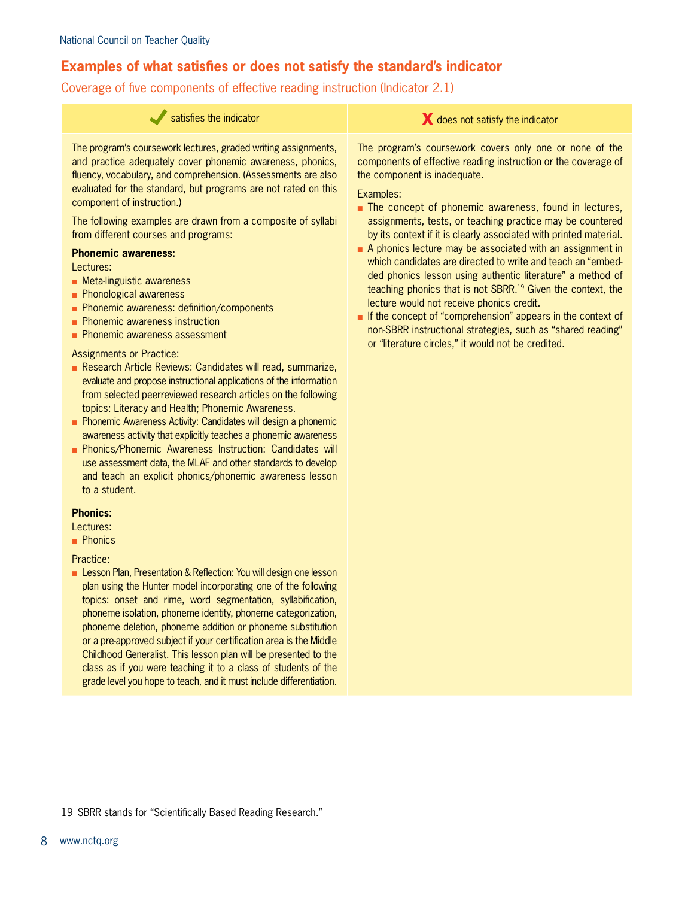#### **Examples of what satisfies or does not satisfy the standard's indicator**

Coverage of five components of effective reading instruction (Indicator 2.1)

| satisfies the indicator                                                                                                                                                                                                                                                                                                                                                                                                                                                                                                                                                                                                                                                                                                                                                                                                                                                                                                                                                                                                                                                                                                                                                                                                                                                 | does not satisfy the indicator                                                                                                                                                                                                                                                                                                                                                                                                                                                                                                                                                                                                                                                                                                                                                                                                                                          |
|-------------------------------------------------------------------------------------------------------------------------------------------------------------------------------------------------------------------------------------------------------------------------------------------------------------------------------------------------------------------------------------------------------------------------------------------------------------------------------------------------------------------------------------------------------------------------------------------------------------------------------------------------------------------------------------------------------------------------------------------------------------------------------------------------------------------------------------------------------------------------------------------------------------------------------------------------------------------------------------------------------------------------------------------------------------------------------------------------------------------------------------------------------------------------------------------------------------------------------------------------------------------------|-------------------------------------------------------------------------------------------------------------------------------------------------------------------------------------------------------------------------------------------------------------------------------------------------------------------------------------------------------------------------------------------------------------------------------------------------------------------------------------------------------------------------------------------------------------------------------------------------------------------------------------------------------------------------------------------------------------------------------------------------------------------------------------------------------------------------------------------------------------------------|
| The program's coursework lectures, graded writing assignments,<br>and practice adequately cover phonemic awareness, phonics,<br>fluency, vocabulary, and comprehension. (Assessments are also<br>evaluated for the standard, but programs are not rated on this<br>component of instruction.)<br>The following examples are drawn from a composite of syllabi<br>from different courses and programs:<br><b>Phonemic awareness:</b><br>Lectures:<br>• Meta-linguistic awareness<br>• Phonological awareness<br>Phonemic awareness: definition/components<br>• Phonemic awareness instruction<br>• Phonemic awareness assessment<br><b>Assignments or Practice:</b><br>Research Article Reviews: Candidates will read, summarize,<br>evaluate and propose instructional applications of the information<br>from selected peerreviewed research articles on the following<br>topics: Literacy and Health; Phonemic Awareness.<br>Phonemic Awareness Activity: Candidates will design a phonemic<br>awareness activity that explicitly teaches a phonemic awareness<br>Phonics/Phonemic Awareness Instruction: Candidates will<br>use assessment data, the MLAF and other standards to develop<br>and teach an explicit phonics/phonemic awareness lesson<br>to a student. | The program's coursework covers only one or none of the<br>components of effective reading instruction or the coverage of<br>the component is inadequate.<br>Examples:<br>The concept of phonemic awareness, found in lectures,<br>assignments, tests, or teaching practice may be countered<br>by its context if it is clearly associated with printed material.<br>A phonics lecture may be associated with an assignment in<br>which candidates are directed to write and teach an "embed-<br>ded phonics lesson using authentic literature" a method of<br>teaching phonics that is not SBRR. <sup>19</sup> Given the context, the<br>lecture would not receive phonics credit.<br>If the concept of "comprehension" appears in the context of<br>non-SBRR instructional strategies, such as "shared reading"<br>or "literature circles," it would not be credited. |
| <b>Phonics:</b><br>Lectures:<br><b>Phonics</b><br>Practice:<br>Lesson Plan, Presentation & Reflection: You will design one lesson<br>plan using the Hunter model incorporating one of the following<br>topics: onset and rime, word segmentation, syllabification,<br>phoneme isolation, phoneme identity, phoneme categorization,<br>phoneme deletion, phoneme addition or phoneme substitution<br>or a pre-approved subject if your certification area is the Middle<br>Childhood Generalist. This lesson plan will be presented to the<br>class as if you were teaching it to a class of students of the                                                                                                                                                                                                                                                                                                                                                                                                                                                                                                                                                                                                                                                             |                                                                                                                                                                                                                                                                                                                                                                                                                                                                                                                                                                                                                                                                                                                                                                                                                                                                         |

19 SBRR stands for "Scientifically Based Reading Research."

grade level you hope to teach, and it must include differentiation.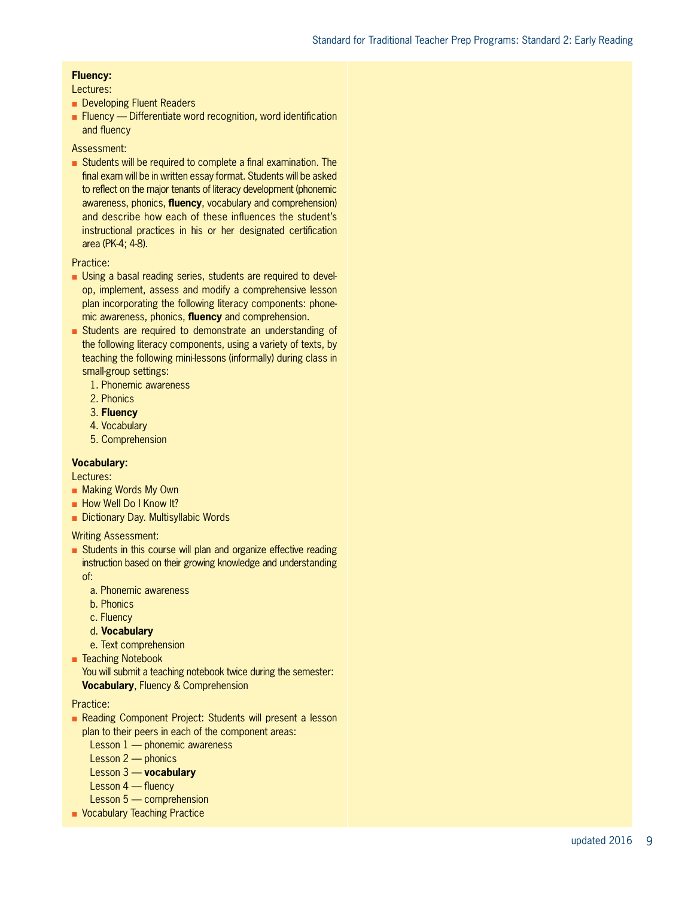#### **Fluency:**

#### Lectures:

- Developing Fluent Readers
- $\blacksquare$  Fluency Differentiate word recognition, word identification and fluency
- Assessment:
- Students will be required to complete a final examination. The final exam will be in written essay format. Students will be asked to reflect on the major tenants of literacy development (phonemic awareness, phonics, **fluency**, vocabulary and comprehension) and describe how each of these influences the student's instructional practices in his or her designated certification area (PK-4; 4-8).

#### Practice:

- **Diangella** basal reading series, students are required to develop, implement, assess and modify a comprehensive lesson plan incorporating the following literacy components: phone mic awareness, phonics, **fluency** and comprehension.
- <sup>n</sup> Students are required to demonstrate an understanding of the following literacy components, using a variety of texts, by teaching the following mini-lessons (informally) during class in small-group settings:
	- 1. Phonemic awareness
	- 2. Phonics
	- 3. **Fluency**
	- 4. Vocabulary
	- 5. Comprehension

#### **Vocabulary:**

Lectures:

- **n** Making Words My Own
- **n** How Well Do I Know It?
- Dictionary Day. Multisyllabic Words

Writing Assessment:

- Students in this course will plan and organize effective reading instruction based on their growing knowledge and understanding of:
	- a. Phonemic awareness
	- b. Phonics
	- c. Fluency
	- d. **Vocabulary**
	- e. Text comprehension
- Teaching Notebook

You will submit a teaching notebook twice during the semester: **Vocabulary**, Fluency & Comprehension

#### Practice:

- <sup>n</sup> Reading Component Project: Students will present a lesson plan to their peers in each of the component areas:
	- Lesson 1 phonemic awareness
	- Lesson 2 phonics
	- Lesson 3 **vocabulary**
	- Lesson 4 fluency
	- Lesson 5 comprehension
- **Nocabulary Teaching Practice**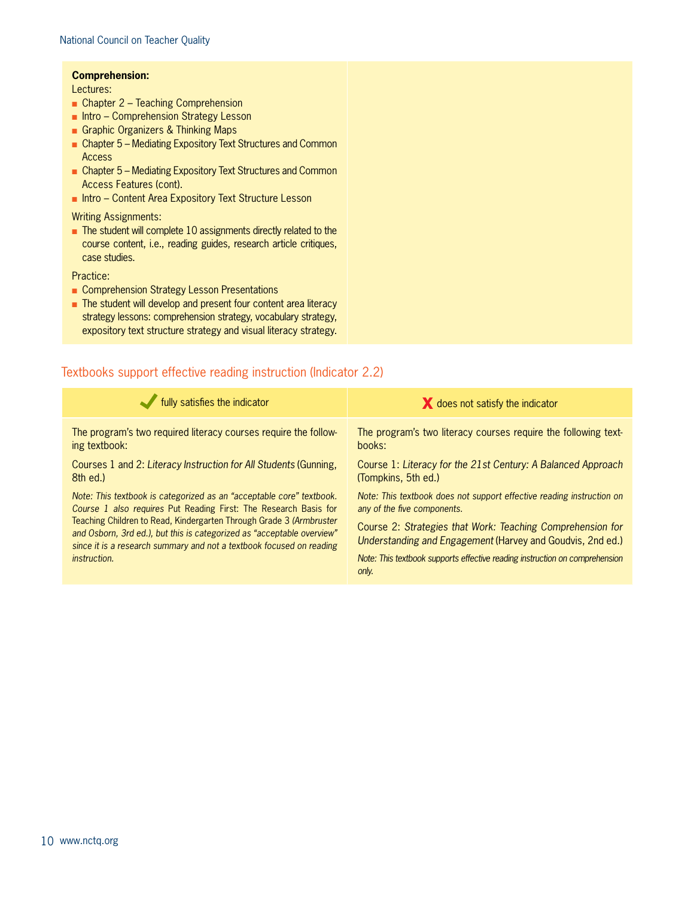#### **Comprehension:**

Lectures:

- $\Box$  Chapter 2 Teaching Comprehension
- n Intro Comprehension Strategy Lesson
- **n** Graphic Organizers & Thinking Maps
- Chapter 5 Mediating Expository Text Structures and Common Access
- Chapter 5 Mediating Expository Text Structures and Common Access Features (cont).
- Intro Content Area Expository Text Structure Lesson

Writing Assignments:

 $\blacksquare$  The student will complete 10 assignments directly related to the course content, i.e., reading guides, research article critiques, case studies.

Practice:

- Comprehension Strategy Lesson Presentations
- The student will develop and present four content area literacy strategy lessons: comprehension strategy, vocabulary strategy, expository text structure strategy and visual literacy strategy.

#### Textbooks support effective reading instruction (Indicator 2.2)

| fully satisfies the indicator                                          | X does not satisfy the indicator                                            |
|------------------------------------------------------------------------|-----------------------------------------------------------------------------|
| The program's two required literacy courses require the follow-        | The program's two literacy courses require the following text-              |
| ing textbook:                                                          | books:                                                                      |
| Courses 1 and 2: Literacy Instruction for All Students (Gunning,       | Course 1: Literacy for the 21st Century: A Balanced Approach                |
| 8th ed.)                                                               | (Tompkins, 5th ed.)                                                         |
| Note: This textbook is categorized as an "acceptable core" textbook.   | Note: This textbook does not support effective reading instruction on       |
| Course 1 also requires Put Reading First: The Research Basis for       | any of the five components.                                                 |
| Teaching Children to Read, Kindergarten Through Grade 3 (Armbruster    | Course 2: Strategies that Work: Teaching Comprehension for                  |
| and Osborn, 3rd ed.), but this is categorized as "acceptable overview" | Understanding and Engagement (Harvey and Goudvis, 2nd ed.)                  |
| since it is a research summary and not a textbook focused on reading   | Note: This textbook supports effective reading instruction on comprehension |
| <i>instruction.</i>                                                    | only.                                                                       |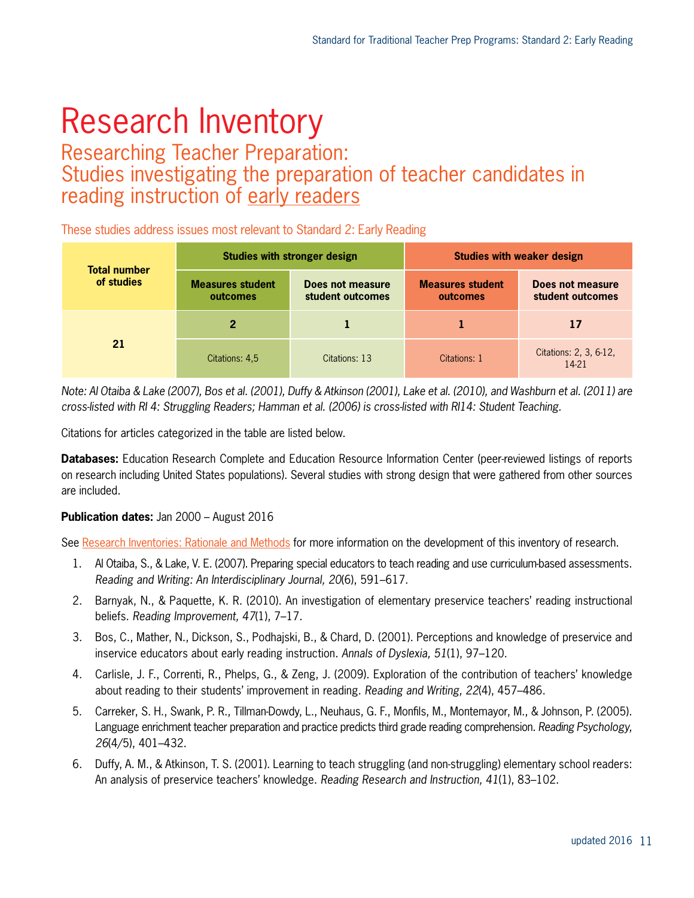# Research Inventory

### Researching Teacher Preparation: Studies investigating the preparation of teacher candidates in reading instruction of early readers

These studies address issues most relevant to Standard 2: Early Reading

| <b>Total number</b><br>of studies | <b>Studies with stronger design</b> |                                      | <b>Studies with weaker design</b>   |                                      |
|-----------------------------------|-------------------------------------|--------------------------------------|-------------------------------------|--------------------------------------|
|                                   | <b>Measures student</b><br>outcomes | Does not measure<br>student outcomes | <b>Measures student</b><br>outcomes | Does not measure<br>student outcomes |
| 21                                | 2                                   |                                      |                                     | 17                                   |
|                                   | Citations: 4,5                      | Citations: 13                        | Citations: 1                        | Citations: 2, 3, 6-12,<br>14-21      |

*Note: Al Otaiba & Lake (2007), Bos et al. (2001), Duffy & Atkinson (2001), Lake et al. (2010), and Washburn et al. (2011) are cross-listed with RI 4: Struggling Readers; Hamman et al. (2006) is cross-listed with RI14: Student Teaching.*

Citations for articles categorized in the table are listed below.

**Databases:** Education Research Complete and Education Resource Information Center (peer-reviewed listings of reports on research including United States populations). Several studies with strong design that were gathered from other sources are included.

#### **Publication dates:** Jan 2000 – August 2016

See [Research Inventories: Rationale and Methods](http://www.nctq.org/dmsView/Intro_Research_Inventories) for more information on the development of this inventory of research.

- 1. Al Otaiba, S., & Lake, V. E. (2007). Preparing special educators to teach reading and use curriculum-based assessments. *Reading and Writing: An Interdisciplinary Journal, 20*(6), 591–617.
- 2. Barnyak, N., & Paquette, K. R. (2010). An investigation of elementary preservice teachers' reading instructional beliefs. *Reading Improvement, 47*(1), 7–17.
- 3. Bos, C., Mather, N., Dickson, S., Podhajski, B., & Chard, D. (2001). Perceptions and knowledge of preservice and inservice educators about early reading instruction. *Annals of Dyslexia, 51*(1), 97–120.
- 4. Carlisle, J. F., Correnti, R., Phelps, G., & Zeng, J. (2009). Exploration of the contribution of teachers' knowledge about reading to their students' improvement in reading. *Reading and Writing, 22*(4), 457–486.
- 5. Carreker, S. H., Swank, P. R., Tillman-Dowdy, L., Neuhaus, G. F., Monfils, M., Montemayor, M., & Johnson, P. (2005). Language enrichment teacher preparation and practice predicts third grade reading comprehension. *Reading Psychology, 26*(4/5), 401–432.
- 6. Duffy, A. M., & Atkinson, T. S. (2001). Learning to teach struggling (and non-struggling) elementary school readers: An analysis of preservice teachers' knowledge. *Reading Research and Instruction, 41*(1), 83–102.